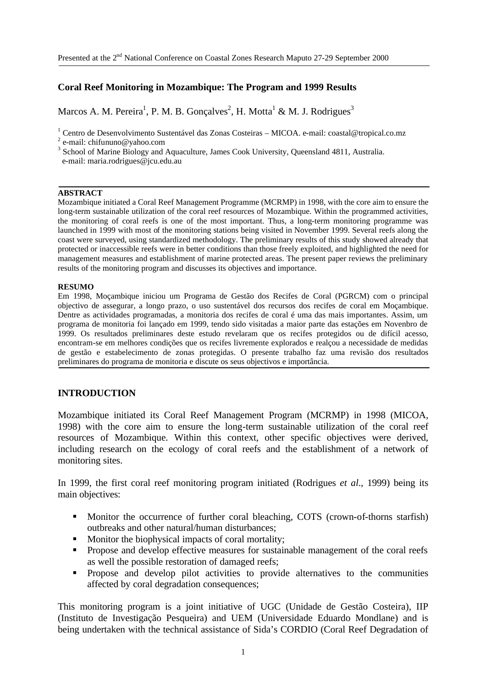### **Coral Reef Monitoring in Mozambique: The Program and 1999 Results**

Marcos A. M. Pereira<sup>1</sup>, P. M. B. Gonçalves<sup>2</sup>, H. Motta<sup>1</sup> & M. J. Rodrigues<sup>3</sup>

<sup>1</sup> Centro de Desenvolvimento Sustentável das Zonas Costeiras – MICOA. e-mail: coastal@tropical.co.mz

#### **ABSTRACT**

Mozambique initiated a Coral Reef Management Programme (MCRMP) in 1998, with the core aim to ensure the long-term sustainable utilization of the coral reef resources of Mozambique. Within the programmed activities, the monitoring of coral reefs is one of the most important. Thus, a long-term monitoring programme was launched in 1999 with most of the monitoring stations being visited in November 1999. Several reefs along the coast were surveyed, using standardized methodology. The preliminary results of this study showed already that protected or inaccessible reefs were in better conditions than those freely exploited, and highlighted the need for management measures and establishment of marine protected areas. The present paper reviews the preliminary results of the monitoring program and discusses its objectives and importance.

#### **RESUMO**

Em 1998, Moçambique iniciou um Programa de Gestão dos Recifes de Coral (PGRCM) com o principal objectivo de assegurar, a longo prazo, o uso sustentável dos recursos dos recifes de coral em Moçambique. Dentre as actividades programadas, a monitoria dos recifes de coral é uma das mais importantes. Assim, um programa de monitoria foi lançado em 1999, tendo sido visitadas a maior parte das estações em Novenbro de 1999. Os resultados preliminares deste estudo revelaram que os recifes protegidos ou de difícil acesso, encontram-se em melhores condições que os recifes livremente explorados e realçou a necessidade de medidas de gestão e estabelecimento de zonas protegidas. O presente trabalho faz uma revisão dos resultados preliminares do programa de monitoria e discute os seus objectivos e importância.

### **INTRODUCTION**

Mozambique initiated its Coral Reef Management Program (MCRMP) in 1998 (MICOA, 1998) with the core aim to ensure the long-term sustainable utilization of the coral reef resources of Mozambique. Within this context, other specific objectives were derived, including research on the ecology of coral reefs and the establishment of a network of monitoring sites.

In 1999, the first coral reef monitoring program initiated (Rodrigues *et al*., 1999) being its main objectives:

- Monitor the occurrence of further coral bleaching, COTS (crown-of-thorns starfish) outbreaks and other natural/human disturbances;
- Monitor the biophysical impacts of coral mortality;
- **•** Propose and develop effective measures for sustainable management of the coral reefs as well the possible restoration of damaged reefs;
- **•** Propose and develop pilot activities to provide alternatives to the communities affected by coral degradation consequences;

This monitoring program is a joint initiative of UGC (Unidade de Gestão Costeira), IIP (Instituto de Investigação Pesqueira) and UEM (Universidade Eduardo Mondlane) and is being undertaken with the technical assistance of Sida's CORDIO (Coral Reef Degradation of

<sup>&</sup>lt;sup>2</sup> e-mail: chifununo@yahoo.com

<sup>&</sup>lt;sup>3</sup> School of Marine Biology and Aquaculture, James Cook University, Queensland 4811, Australia. e-mail: maria.rodrigues@jcu.edu.au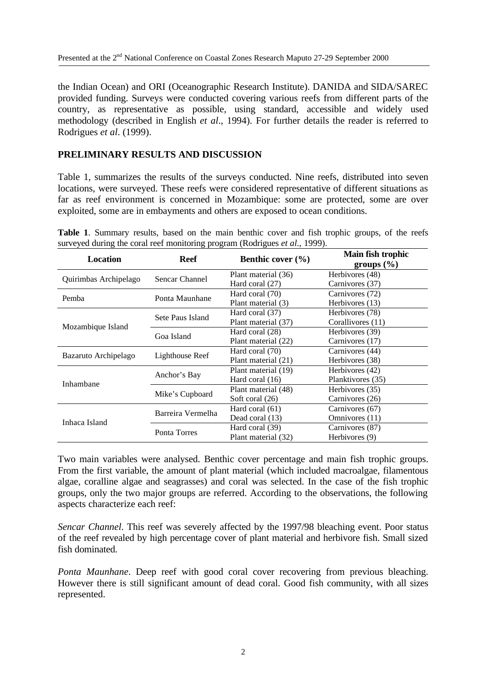the Indian Ocean) and ORI (Oceanographic Research Institute). DANIDA and SIDA/SAREC provided funding. Surveys were conducted covering various reefs from different parts of the country, as representative as possible, using standard, accessible and widely used methodology (described in English *et al*., 1994). For further details the reader is referred to Rodrigues *et al*. (1999).

# **PRELIMINARY RESULTS AND DISCUSSION**

Table 1, summarizes the results of the surveys conducted. Nine reefs, distributed into seven locations, were surveyed. These reefs were considered representative of different situations as far as reef environment is concerned in Mozambique: some are protected, some are over exploited, some are in embayments and others are exposed to ocean conditions.

|  | Table 1. Summary results, based on the main benthic cover and fish trophic groups, of the reefs |  |  |  |  |  |  |  |
|--|-------------------------------------------------------------------------------------------------|--|--|--|--|--|--|--|
|  | surveyed during the coral reef monitoring program (Rodrigues et al., 1999).                     |  |  |  |  |  |  |  |

| Location              | Reef              | Benthic cover $(\% )$ | Main fish trophic<br>groups $(\% )$ |  |  |  |  |
|-----------------------|-------------------|-----------------------|-------------------------------------|--|--|--|--|
| Quirimbas Archipelago | Sencar Channel    | Plant material (36)   | Herbivores (48)                     |  |  |  |  |
|                       |                   | Hard coral (27)       | Carnivores (37)                     |  |  |  |  |
| Pemba                 | Ponta Maunhane    | Hard coral (70)       | Carnivores (72)                     |  |  |  |  |
|                       |                   | Plant material (3)    | Herbivores (13)                     |  |  |  |  |
|                       | Sete Paus Island  | Hard coral (37)       | Herbivores (78)                     |  |  |  |  |
|                       |                   | Plant material (37)   | Corallivores (11)                   |  |  |  |  |
| Mozambique Island     | Goa Island        | Hard coral (28)       | Herbivores (39)                     |  |  |  |  |
|                       |                   | Plant material (22)   | Carnivores (17)                     |  |  |  |  |
|                       |                   | Hard coral (70)       | Carnivores (44)                     |  |  |  |  |
| Bazaruto Archipelago  | Lighthouse Reef   | Plant material (21)   | Herbivores (38)                     |  |  |  |  |
|                       |                   | Plant material (19)   | Herbivores (42)                     |  |  |  |  |
| Inhambane             | Anchor's Bay      | Hard coral (16)       | Planktivores (35)                   |  |  |  |  |
|                       | Mike's Cupboard   | Plant material (48)   | Herbivores (35)                     |  |  |  |  |
|                       |                   | Soft coral (26)       | Carnivores (26)                     |  |  |  |  |
|                       | Barreira Vermelha | Hard coral (61)       | Carnivores (67)                     |  |  |  |  |
| Inhaca Island         |                   | Dead coral (13)       | Omnivores (11)                      |  |  |  |  |
|                       |                   | Hard coral (39)       | Carnivores (87)                     |  |  |  |  |
|                       | Ponta Torres      | Plant material (32)   | Herbivores (9)                      |  |  |  |  |

Two main variables were analysed. Benthic cover percentage and main fish trophic groups. From the first variable, the amount of plant material (which included macroalgae, filamentous algae, coralline algae and seagrasses) and coral was selected. In the case of the fish trophic groups, only the two major groups are referred. According to the observations, the following aspects characterize each reef:

*Sencar Channel*. This reef was severely affected by the 1997/98 bleaching event. Poor status of the reef revealed by high percentage cover of plant material and herbivore fish. Small sized fish dominated.

*Ponta Maunhane*. Deep reef with good coral cover recovering from previous bleaching. However there is still significant amount of dead coral. Good fish community, with all sizes represented.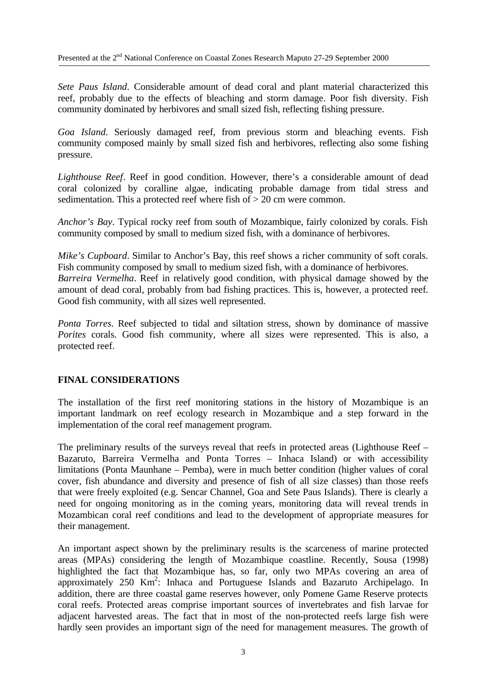*Sete Paus Island*. Considerable amount of dead coral and plant material characterized this reef, probably due to the effects of bleaching and storm damage. Poor fish diversity. Fish community dominated by herbivores and small sized fish, reflecting fishing pressure.

*Goa Island*. Seriously damaged reef, from previous storm and bleaching events. Fish community composed mainly by small sized fish and herbivores, reflecting also some fishing pressure.

*Lighthouse Reef*. Reef in good condition. However, there's a considerable amount of dead coral colonized by coralline algae, indicating probable damage from tidal stress and sedimentation. This a protected reef where fish of > 20 cm were common.

*Anchor's Bay*. Typical rocky reef from south of Mozambique, fairly colonized by corals. Fish community composed by small to medium sized fish, with a dominance of herbivores.

*Mike's Cupboard*. Similar to Anchor's Bay, this reef shows a richer community of soft corals. Fish community composed by small to medium sized fish, with a dominance of herbivores. *Barreira Vermelha*. Reef in relatively good condition, with physical damage showed by the amount of dead coral, probably from bad fishing practices. This is, however, a protected reef. Good fish community, with all sizes well represented.

*Ponta Torres*. Reef subjected to tidal and siltation stress, shown by dominance of massive *Porites* corals. Good fish community, where all sizes were represented. This is also, a protected reef.

## **FINAL CONSIDERATIONS**

The installation of the first reef monitoring stations in the history of Mozambique is an important landmark on reef ecology research in Mozambique and a step forward in the implementation of the coral reef management program.

The preliminary results of the surveys reveal that reefs in protected areas (Lighthouse Reef – Bazaruto, Barreira Vermelha and Ponta Torres – Inhaca Island) or with accessibility limitations (Ponta Maunhane – Pemba), were in much better condition (higher values of coral cover, fish abundance and diversity and presence of fish of all size classes) than those reefs that were freely exploited (e.g. Sencar Channel, Goa and Sete Paus Islands). There is clearly a need for ongoing monitoring as in the coming years, monitoring data will reveal trends in Mozambican coral reef conditions and lead to the development of appropriate measures for their management.

An important aspect shown by the preliminary results is the scarceness of marine protected areas (MPAs) considering the length of Mozambique coastline. Recently, Sousa (1998) highlighted the fact that Mozambique has, so far, only two MPAs covering an area of approximately 250 Km<sup>2</sup>: Inhaca and Portuguese Islands and Bazaruto Archipelago. In addition, there are three coastal game reserves however, only Pomene Game Reserve protects coral reefs. Protected areas comprise important sources of invertebrates and fish larvae for adjacent harvested areas. The fact that in most of the non-protected reefs large fish were hardly seen provides an important sign of the need for management measures. The growth of